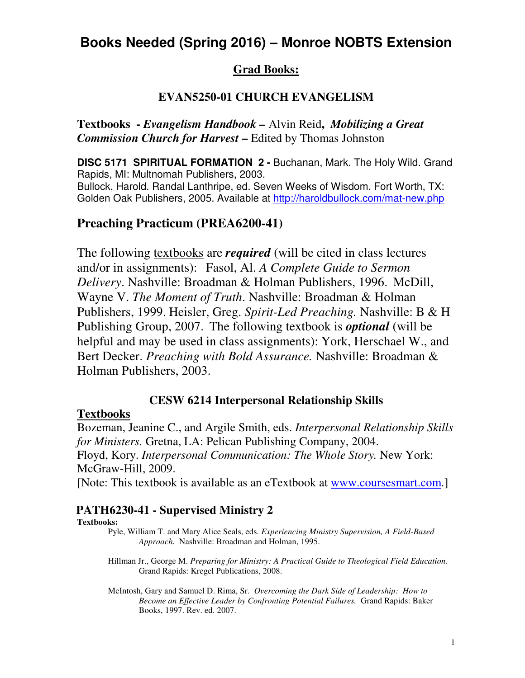# **Books Needed (Spring 2016) – Monroe NOBTS Extension**

## **Grad Books:**

## **EVAN5250-01 CHURCH EVANGELISM**

**Textbooks -** *Evangelism Handbook –* Alvin Reid**,** *Mobilizing a Great Commission Church for Harvest* **–** Edited by Thomas Johnston

**DISC 5171 SPIRITUAL FORMATION 2 -** Buchanan, Mark. The Holy Wild. Grand Rapids, MI: Multnomah Publishers, 2003. Bullock, Harold. Randal Lanthripe, ed. Seven Weeks of Wisdom. Fort Worth, TX: Golden Oak Publishers, 2005. Available at http://haroldbullock.com/mat-new.php

## **Preaching Practicum (PREA6200-41)**

The following textbooks are *required* (will be cited in class lectures and/or in assignments): Fasol, Al. *A Complete Guide to Sermon Delivery*. Nashville: Broadman & Holman Publishers, 1996. McDill, Wayne V. *The Moment of Truth*. Nashville: Broadman & Holman Publishers, 1999. Heisler, Greg. *Spirit-Led Preaching.* Nashville: B & H Publishing Group, 2007. The following textbook is *optional* (will be helpful and may be used in class assignments): York, Herschael W., and Bert Decker. *Preaching with Bold Assurance.* Nashville: Broadman & Holman Publishers, 2003.

### **CESW 6214 Interpersonal Relationship Skills**

### **Textbooks**

Bozeman, Jeanine C., and Argile Smith, eds. *Interpersonal Relationship Skills for Ministers.* Gretna, LA: Pelican Publishing Company, 2004. Floyd, Kory. *Interpersonal Communication: The Whole Story.* New York: McGraw-Hill, 2009.

[Note: This textbook is available as an eTextbook at www.coursesmart.com.]

### **PATH6230-41 - Supervised Ministry 2**

#### **Textbooks:**

- Pyle, William T. and Mary Alice Seals, eds. *Experiencing Ministry Supervision, A Field-Based Approach.* Nashville: Broadman and Holman, 1995.
- Hillman Jr., George M. *Preparing for Ministry: A Practical Guide to Theological Field Education*. Grand Rapids: Kregel Publications, 2008.
- McIntosh, Gary and Samuel D. Rima, Sr. *Overcoming the Dark Side of Leadership: How to Become an Effective Leader by Confronting Potential Failures.* Grand Rapids: Baker Books, 1997. Rev. ed. 2007.